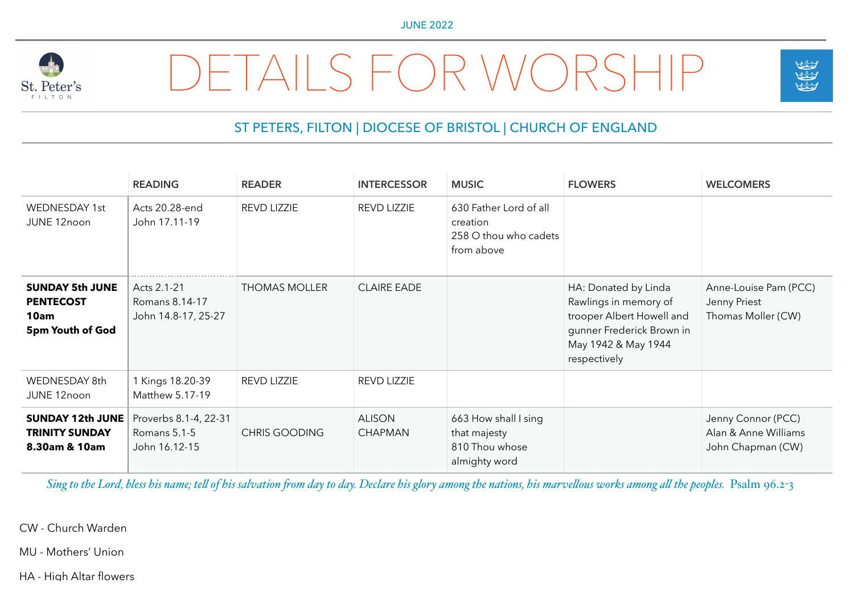

## DETAILS FOR WORSHIP



## ST PETERS, FILTON | DIOCESE OF BRISTOL | CHURCH OF ENGLAND

|                                                                        | <b>READING</b>                                         | <b>READER</b>        | <b>INTERCESSOR</b>              | <b>MUSIC</b>                                                              | <b>FLOWERS</b>                                                                                                                                 | <b>WELCOMERS</b>                                                |
|------------------------------------------------------------------------|--------------------------------------------------------|----------------------|---------------------------------|---------------------------------------------------------------------------|------------------------------------------------------------------------------------------------------------------------------------------------|-----------------------------------------------------------------|
| <b>WEDNESDAY 1st</b><br>JUNE 12noon                                    | Acts 20.28-end<br>John 17.11-19                        | REVD LIZZIE          | <b>REVD LIZZIE</b>              | 630 Father Lord of all<br>creation<br>258 O thou who cadets<br>from above |                                                                                                                                                |                                                                 |
| <b>SUNDAY 5th JUNE</b><br><b>PENTECOST</b><br>10am<br>5pm Youth of God | Acts 2.1-21<br>Romans 8.14-17<br>John 14.8-17, 25-27   | <b>THOMAS MOLLER</b> | <b>CLAIRE EADE</b>              |                                                                           | HA: Donated by Linda<br>Rawlings in memory of<br>trooper Albert Howell and<br>gunner Frederick Brown in<br>May 1942 & May 1944<br>respectively | Anne-Louise Pam (PCC)<br>Jenny Priest<br>Thomas Moller (CW)     |
| WEDNESDAY 8th<br>JUNE 12noon                                           | 1 Kings 18.20-39<br>Matthew 5.17-19                    | REVD LIZZIE          | REVD LIZZIE                     |                                                                           |                                                                                                                                                |                                                                 |
| <b>SUNDAY 12th JUNE</b><br><b>TRINITY SUNDAY</b><br>8.30am & 10am      | Proverbs 8.1-4, 22-31<br>Romans 5.1-5<br>John 16.12-15 | <b>CHRIS GOODING</b> | <b>ALISON</b><br><b>CHAPMAN</b> | 663 How shall I sing<br>that majesty<br>810 Thou whose<br>almighty word   |                                                                                                                                                | Jenny Connor (PCC)<br>Alan & Anne Williams<br>John Chapman (CW) |

Sing to the Lord, bless his name; tell of his salvation from day to day. Declare his glory among the nations, his marvellous works among all the peoples. Psalm 96.2-3

CW - Church Warden

MU - Mothers' Union

HA - High Altar flowers